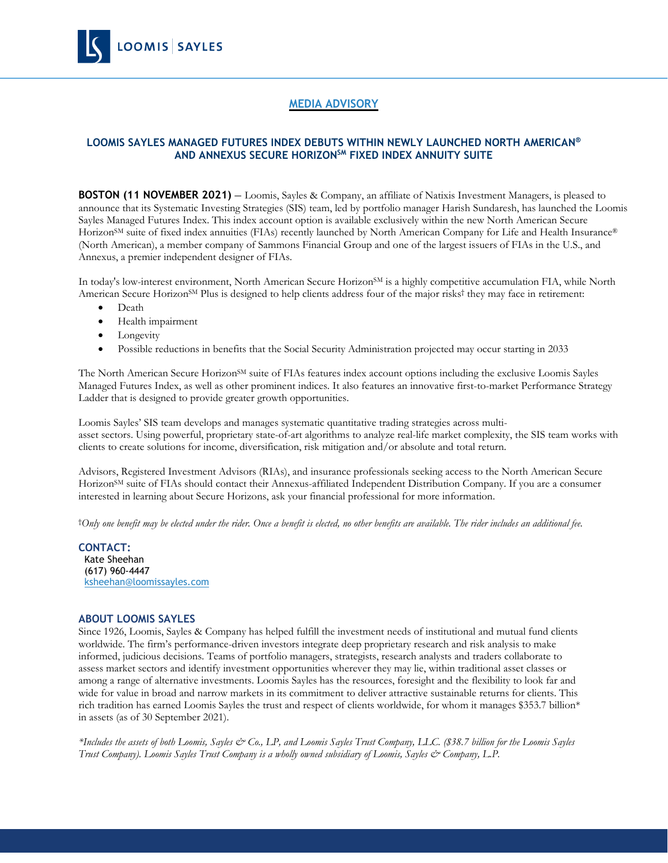

# **MEDIA ADVISORY**

# **LOOMIS SAYLES MANAGED FUTURES INDEX DEBUTS WITHIN NEWLY LAUNCHED NORTH AMERICAN® AND ANNEXUS SECURE HORIZONSM FIXED INDEX ANNUITY SUITE**

**BOSTON (11 NOVEMBER 2021)** – Loomis, Sayles & Company, an affiliate of Natixis Investment Managers, is pleased to announce that its Systematic Investing Strategies (SIS) team, led by portfolio manager Harish Sundaresh, has launched the Loomis Sayles Managed Futures Index. This index account option is available exclusively within the new North American Secure Horizon<sup>SM</sup> suite of fixed index annuities (FIAs) recently launched by North American Company for Life and Health Insurance® (North American), a member company of Sammons Financial Group and one of the largest issuers of FIAs in the U.S., and Annexus, a premier independent designer of FIAs.

In today's low-interest environment, North American Secure Horizon<sup>SM</sup> is a highly competitive accumulation FIA, while North American Secure Horizon<sup>SM</sup> Plus is designed to help clients address four of the major risks<sup>†</sup> they may face in retirement:

- Death
- Health impairment
- **Longevity**
- Possible reductions in benefits that the Social Security Administration projected may occur starting in 2033

The North American Secure Horizon<sup>SM</sup> suite of FIAs features index account options including the exclusive Loomis Sayles Managed Futures Index, as well as other prominent indices. It also features an innovative first-to-market Performance Strategy Ladder that is designed to provide greater growth opportunities.

Loomis Sayles' SIS team develops and manages systematic quantitative trading strategies across multiasset sectors. Using powerful, proprietary state-of-art algorithms to analyze real-life market complexity, the SIS team works with clients to create solutions for income, diversification, risk mitigation and/or absolute and total return.

Advisors, Registered Investment Advisors (RIAs), and insurance professionals seeking access to the North American Secure Horizon<sup>SM</sup> suite of FIAs should contact their Annexus-affiliated Independent Distribution Company. If you are a consumer interested in learning about Secure Horizons, ask your financial professional for more information.

†*Only one benefit may be elected under the rider. Once a benefit is elected, no other benefits are available. The rider includes an additional fee.*

**CONTACT:**  Kate Sheehan (617) 960-4447 [ksheehan@loomissayles.com](mailto:ksheehan@loomissayles.com)

# **ABOUT LOOMIS SAYLES**

Since 1926, Loomis, Sayles & Company has helped fulfill the investment needs of institutional and mutual fund clients worldwide. The firm's performance-driven investors integrate deep proprietary research and risk analysis to make informed, judicious decisions. Teams of portfolio managers, strategists, research analysts and traders collaborate to assess market sectors and identify investment opportunities wherever they may lie, within traditional asset classes or among a range of alternative investments. Loomis Sayles has the resources, foresight and the flexibility to look far and wide for value in broad and narrow markets in its commitment to deliver attractive sustainable returns for clients. This rich tradition has earned Loomis Sayles the trust and respect of clients worldwide, for whom it manages \$353.7 billion\* in assets (as of 30 September 2021).

*\*Includes the assets of both Loomis, Sayles & Co., LP, and Loomis Sayles Trust Company, LLC. (\$38.7 billion for the Loomis Sayles Trust Company). Loomis Sayles Trust Company is a wholly owned subsidiary of Loomis, Sayles & Company, L.P.*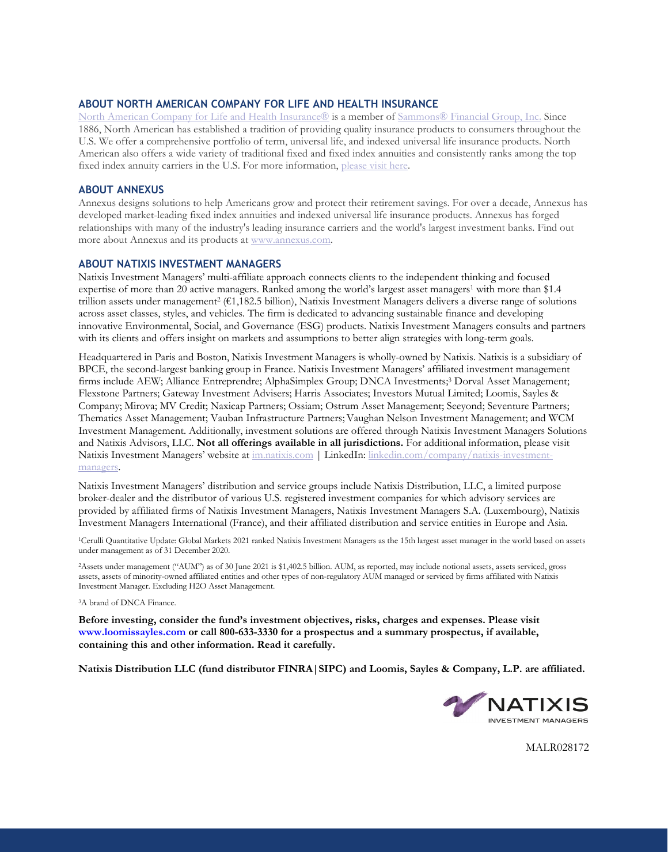## **ABOUT NORTH AMERICAN COMPANY FOR LIFE AND HEALTH INSURANCE**

[North American Company for Life and Health Insurance®](https://c212.net/c/link/?t=0&l=en&o=3335171-1&h=4255956063&u=https%3A%2F%2Fwww.sammonsfinancialgroup.com%2Four-company%2Fnorth-american&a=North+American+Company+for+Life+and+Health+Insurance%C2%AE) is a member of Sammons® [Financial Group, Inc.](https://c212.net/c/link/?t=0&l=en&o=3335171-1&h=575484667&u=https%3A%2F%2Fwww.sammonsfinancialgroup.com%2F&a=Sammons%C2%AE%C2%A0Financial+Group%2C+Inc.) Since 1886, North American has established a tradition of providing quality insurance products to consumers throughout the U.S. We offer a comprehensive portfolio of term, universal life, and indexed universal life insurance products. North American also offers a wide variety of traditional fixed and fixed index annuities and consistently ranks among the top fixed index annuity carriers in the U.S. For more information, [please visit here.](https://c212.net/c/link/?t=0&l=en&o=3335171-1&h=1223562400&u=https%3A%2F%2Fwww.northamericancompany.com%2Fwhy-choose-north-american&a=please+visit+here)

#### **ABOUT ANNEXUS**

Annexus designs solutions to help Americans grow and protect their retirement savings. For over a decade, Annexus has developed market-leading fixed index annuities and indexed universal life insurance products. Annexus has forged relationships with many of the industry's leading insurance carriers and the world's largest investment banks. Find out more about Annexus and its products at [www.annexus.com.](https://c212.net/c/link/?t=0&l=en&o=3335171-1&h=469675108&u=http%3A%2F%2Fwww.annexus.com%2F&a=www.annexus.com)

### **ABOUT NATIXIS INVESTMENT MANAGERS**

Natixis Investment Managers' multi-affiliate approach connects clients to the independent thinking and focused expertise of more than 20 active managers. Ranked among the world's largest asset managers<sup>1</sup> with more than \$1.4 trillion assets under management2 (€1,182.5 billion), Natixis Investment Managers delivers a diverse range of solutions across asset classes, styles, and vehicles. The firm is dedicated to advancing sustainable finance and developing innovative Environmental, Social, and Governance (ESG) products. Natixis Investment Managers consults and partners with its clients and offers insight on markets and assumptions to better align strategies with long-term goals.

Headquartered in Paris and Boston, Natixis Investment Managers is wholly-owned by Natixis. Natixis is a subsidiary of BPCE, the second-largest banking group in France. Natixis Investment Managers' affiliated investment management firms include AEW; Alliance Entreprendre; AlphaSimplex Group; DNCA Investments;<sup>3</sup> Dorval Asset Management; Flexstone Partners; Gateway Investment Advisers; Harris Associates; Investors Mutual Limited; Loomis, Sayles & Company; Mirova; MV Credit; Naxicap Partners; Ossiam; Ostrum Asset Management; Seeyond; Seventure Partners; Thematics Asset Management; Vauban Infrastructure Partners;Vaughan Nelson Investment Management; and WCM Investment Management. Additionally, investment solutions are offered through Natixis Investment Managers Solutions and Natixis Advisors, LLC. **Not all offerings available in all jurisdictions.** For additional information, please visit Natixis Investment Managers' website at [im.natixis.com](https://urldefense.com/v3/__http:/www.im.natixis.com/us/home__;!!NEED45wOP8zW!xwuTMspQGjqYCjPhUBw8L_JjLicfqB-pLOYDX-strqSaGl9Xyl9bzhfC6xmz5uIHPQ$) | LinkedIn: [linkedin.com/company/natixis-investment](https://urldefense.com/v3/__https:/www.linkedin.com/company/natixis-investment-managers/__;!!NEED45wOP8zW!xwuTMspQGjqYCjPhUBw8L_JjLicfqB-pLOYDX-strqSaGl9Xyl9bzhfC6xldlPTkgw$)[managers.](https://urldefense.com/v3/__https:/www.linkedin.com/company/natixis-investment-managers/__;!!NEED45wOP8zW!xwuTMspQGjqYCjPhUBw8L_JjLicfqB-pLOYDX-strqSaGl9Xyl9bzhfC6xldlPTkgw$)

Natixis Investment Managers' distribution and service groups include Natixis Distribution, LLC, a limited purpose broker-dealer and the distributor of various U.S. registered investment companies for which advisory services are provided by affiliated firms of Natixis Investment Managers, Natixis Investment Managers S.A. (Luxembourg), Natixis Investment Managers International (France), and their affiliated distribution and service entities in Europe and Asia.

1Cerulli Quantitative Update: Global Markets 2021 ranked Natixis Investment Managers as the 15th largest asset manager in the world based on assets under management as of 31 December 2020.

2Assets under management ("AUM") as of 30 June 2021 is \$1,402.5 billion. AUM, as reported, may include notional assets, assets serviced, gross assets, assets of minority-owned affiliated entities and other types of non-regulatory AUM managed or serviced by firms affiliated with Natixis Investment Manager. Excluding H2O Asset Management.

3A brand of DNCA Finance.

**Before investing, consider the fund's investment objectives, risks, charges and expenses. Please visit [www.loomissayles.com](http://www.loomissayles.com/) or call 800-633-3330 for a prospectus and a summary prospectus, if available, containing this and other information. Read it carefully.** 

**Natixis Distribution LLC (fund distributor FINRA|SIPC) and Loomis, Sayles & Company, L.P. are affiliated.** 



MALR028172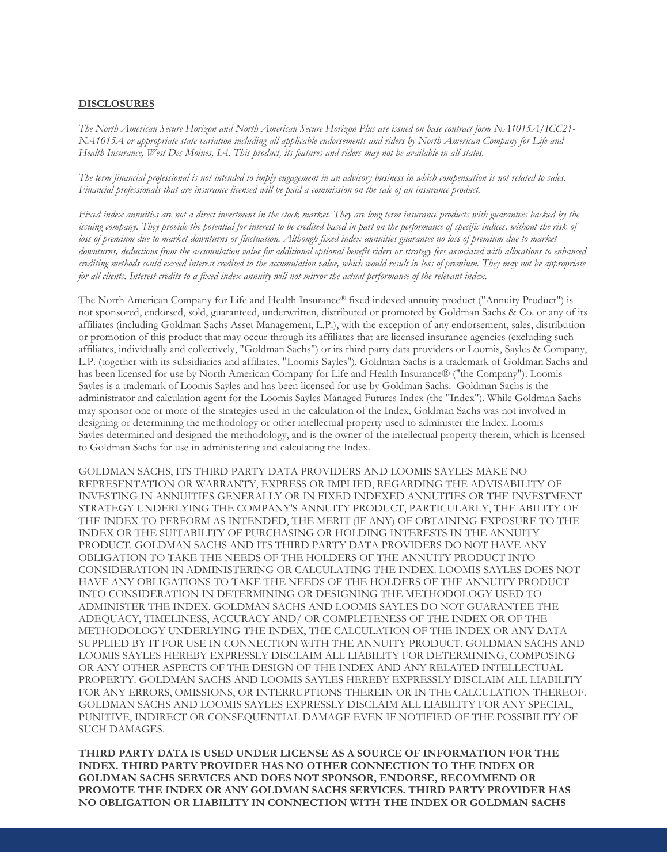#### **DISCLOSURES**

*The North American Secure Horizon and North American Secure Horizon Plus are issued on base contract form NA1015A/ICC21- NA1015A or appropriate state variation including all applicable endorsements and riders by North American Company for Life and Health Insurance, West Des Moines, IA. This product, its features and riders may not be available in all states.*

*The term financial professional is not intended to imply engagement in an advisory business in which compensation is not related to sales. Financial professionals that are insurance licensed will be paid a commission on the sale of an insurance product.*

*Fixed index annuities are not a direct investment in the stock market. They are long term insurance products with guarantees backed by the issuing company. They provide the potential for interest to be credited based in part on the performance of specific indices, without the risk of* loss of premium due to market downturns or fluctuation. Although fixed index annuities guarantee no loss of premium due to market downturns, deductions from the accumulation value for additional optional benefit riders or strategy fees associated with allocations to enhanced *crediting methods could exceed interest credited to the accumulation value, which would result in loss of premium. They may not be appropriate for all clients. Interest credits to a fixed index annuity will not mirror the actual performance of the relevant index.*

The North American Company for Life and Health Insurance® fixed indexed annuity product ("Annuity Product") is not sponsored, endorsed, sold, guaranteed, underwritten, distributed or promoted by Goldman Sachs & Co. or any of its affiliates (including Goldman Sachs Asset Management, L.P.), with the exception of any endorsement, sales, distribution or promotion of this product that may occur through its affiliates that are licensed insurance agencies (excluding such affiliates, individually and collectively, "Goldman Sachs") or its third party data providers or Loomis, Sayles & Company, L.P. (together with its subsidiaries and affiliates, "Loomis Sayles"). Goldman Sachs is a trademark of Goldman Sachs and has been licensed for use by North American Company for Life and Health Insurance® ("the Company"). Loomis Sayles is a trademark of Loomis Sayles and has been licensed for use by Goldman Sachs. Goldman Sachs is the administrator and calculation agent for the Loomis Sayles Managed Futures Index (the "Index"). While Goldman Sachs may sponsor one or more of the strategies used in the calculation of the Index, Goldman Sachs was not involved in designing or determining the methodology or other intellectual property used to administer the Index. Loomis Sayles determined and designed the methodology, and is the owner of the intellectual property therein, which is licensed to Goldman Sachs for use in administering and calculating the Index.

GOLDMAN SACHS, ITS THIRD PARTY DATA PROVIDERS AND LOOMIS SAYLES MAKE NO REPRESENTATION OR WARRANTY, EXPRESS OR IMPLIED, REGARDING THE ADVISABILITY OF INVESTING IN ANNUITIES GENERALLY OR IN FIXED INDEXED ANNUITIES OR THE INVESTMENT STRATEGY UNDERLYING THE COMPANY'S ANNUITY PRODUCT, PARTICULARLY, THE ABILITY OF THE INDEX TO PERFORM AS INTENDED, THE MERIT (IF ANY) OF OBTAINING EXPOSURE TO THE INDEX OR THE SUITABILITY OF PURCHASING OR HOLDING INTERESTS IN THE ANNUITY PRODUCT. GOLDMAN SACHS AND ITS THIRD PARTY DATA PROVIDERS DO NOT HAVE ANY OBLIGATION TO TAKE THE NEEDS OF THE HOLDERS OF THE ANNUITY PRODUCT INTO CONSIDERATION IN ADMINISTERING OR CALCULATING THE INDEX. LOOMIS SAYLES DOES NOT HAVE ANY OBLIGATIONS TO TAKE THE NEEDS OF THE HOLDERS OF THE ANNUITY PRODUCT INTO CONSIDERATION IN DETERMINING OR DESIGNING THE METHODOLOGY USED TO ADMINISTER THE INDEX. GOLDMAN SACHS AND LOOMIS SAYLES DO NOT GUARANTEE THE ADEQUACY, TIMELINESS, ACCURACY AND/ OR COMPLETENESS OF THE INDEX OR OF THE METHODOLOGY UNDERLYING THE INDEX, THE CALCULATION OF THE INDEX OR ANY DATA SUPPLIED BY IT FOR USE IN CONNECTION WITH THE ANNUITY PRODUCT. GOLDMAN SACHS AND LOOMIS SAYLES HEREBY EXPRESSLY DISCLAIM ALL LIABILITY FOR DETERMINING, COMPOSING OR ANY OTHER ASPECTS OF THE DESIGN OF THE INDEX AND ANY RELATED INTELLECTUAL PROPERTY. GOLDMAN SACHS AND LOOMIS SAYLES HEREBY EXPRESSLY DISCLAIM ALL LIABILITY FOR ANY ERRORS, OMISSIONS, OR INTERRUPTIONS THEREIN OR IN THE CALCULATION THEREOF. GOLDMAN SACHS AND LOOMIS SAYLES EXPRESSLY DISCLAIM ALL LIABILITY FOR ANY SPECIAL, PUNITIVE, INDIRECT OR CONSEQUENTIAL DAMAGE EVEN IF NOTIFIED OF THE POSSIBILITY OF SUCH DAMAGES.

**THIRD PARTY DATA IS USED UNDER LICENSE AS A SOURCE OF INFORMATION FOR THE INDEX. THIRD PARTY PROVIDER HAS NO OTHER CONNECTION TO THE INDEX OR GOLDMAN SACHS SERVICES AND DOES NOT SPONSOR, ENDORSE, RECOMMEND OR PROMOTE THE INDEX OR ANY GOLDMAN SACHS SERVICES. THIRD PARTY PROVIDER HAS NO OBLIGATION OR LIABILITY IN CONNECTION WITH THE INDEX OR GOLDMAN SACHS**